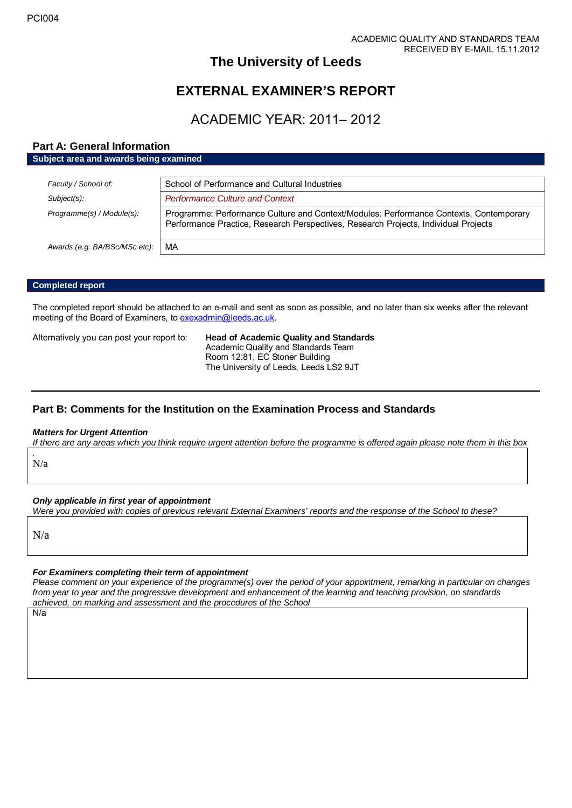# **The University of Leeds**

# **EXTERNAL EXAMINER'S REPORT**

# ACADEMIC YEAR: 2011– 2012

# **Part A: General Information**

| Subject area and awards being examined |                                                                                                                                                                               |  |
|----------------------------------------|-------------------------------------------------------------------------------------------------------------------------------------------------------------------------------|--|
|                                        |                                                                                                                                                                               |  |
| Faculty / School of:                   | School of Performance and Cultural Industries                                                                                                                                 |  |
| Subject(s):                            | <b>Performance Culture and Context</b>                                                                                                                                        |  |
| Programme(s) / Module(s):              | Programme: Performance Culture and Context/Modules: Performance Contexts, Contemporary<br>Performance Practice, Research Perspectives, Research Projects, Individual Projects |  |
| Awards (e.g. BA/BSc/MSc etc):          | MA                                                                                                                                                                            |  |

### **Completed report**

The completed report should be attached to an e-mail and sent as soon as possible, and no later than six weeks after the relevant meeting of the Board of Examiners, t[o exexadmin@leeds.ac.uk.](mailto:exexadmin@leeds.ac.uk)

Alternatively you can post your report to: **Head of Academic Quality and Standards** Academic Quality and Standards Team Room 12:81, EC Stoner Building The University of Leeds, Leeds LS2 9JT

# **Part B: Comments for the Institution on the Examination Process and Standards**

## *Matters for Urgent Attention*

*If there are any areas which you think require urgent attention before the programme is offered again please note them in this box*

#### *.* N/a

## *Only applicable in first year of appointment*

*Were you provided with copies of previous relevant External Examiners' reports and the response of the School to these?* 

N/a

## *For Examiners completing their term of appointment*

*Please comment on your experience of the programme(s) over the period of your appointment, remarking in particular on changes from year to year and the progressive development and enhancement of the learning and teaching provision, on standards achieved, on marking and assessment and the procedures of the School*

N/a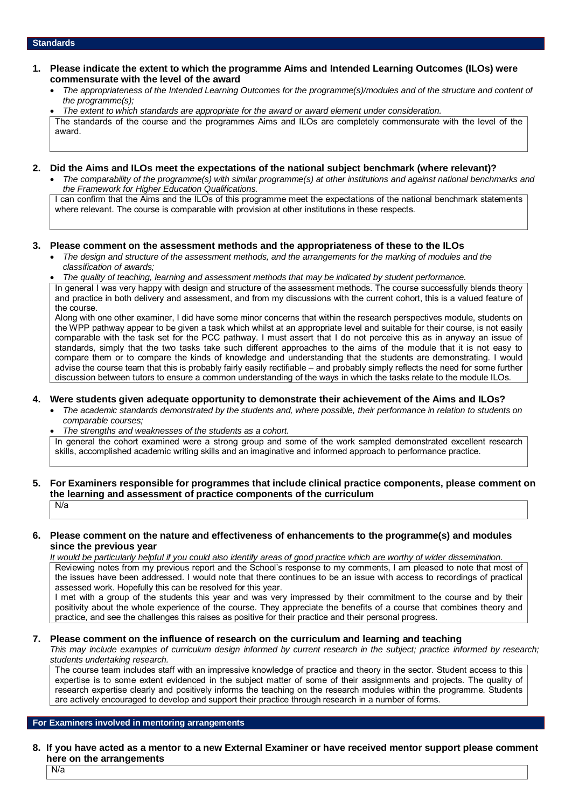#### **Standards**

- **1. Please indicate the extent to which the programme Aims and Intended Learning Outcomes (ILOs) were commensurate with the level of the award**
	- *The appropriateness of the Intended Learning Outcomes for the programme(s)/modules and of the structure and content of the programme(s);*
	- *The extent to which standards are appropriate for the award or award element under consideration.*

The standards of the course and the programmes Aims and ILOs are completely commensurate with the level of the award.

### **2. Did the Aims and ILOs meet the expectations of the national subject benchmark (where relevant)?**

• *The comparability of the programme(s) with similar programme(s) at other institutions and against national benchmarks and the Framework for Higher Education Qualifications.*

I can confirm that the Aims and the ILOs of this programme meet the expectations of the national benchmark statements where relevant. The course is comparable with provision at other institutions in these respects.

## **3. Please comment on the assessment methods and the appropriateness of these to the ILOs**

- *The design and structure of the assessment methods, and the arrangements for the marking of modules and the classification of awards;*
- *The quality of teaching, learning and assessment methods that may be indicated by student performance.*

In general I was very happy with design and structure of the assessment methods. The course successfully blends theory and practice in both delivery and assessment, and from my discussions with the current cohort, this is a valued feature of the course.

Along with one other examiner, I did have some minor concerns that within the research perspectives module, students on the WPP pathway appear to be given a task which whilst at an appropriate level and suitable for their course, is not easily comparable with the task set for the PCC pathway. I must assert that I do not perceive this as in anyway an issue of standards, simply that the two tasks take such different approaches to the aims of the module that it is not easy to compare them or to compare the kinds of knowledge and understanding that the students are demonstrating. I would advise the course team that this is probably fairly easily rectifiable – and probably simply reflects the need for some further discussion between tutors to ensure a common understanding of the ways in which the tasks relate to the module ILOs.

# **4. Were students given adequate opportunity to demonstrate their achievement of the Aims and ILOs?**

- *The academic standards demonstrated by the students and, where possible, their performance in relation to students on comparable courses;*
- *The strengths and weaknesses of the students as a cohort.*

In general the cohort examined were a strong group and some of the work sampled demonstrated excellent research skills, accomplished academic writing skills and an imaginative and informed approach to performance practice.

#### **5. For Examiners responsible for programmes that include clinical practice components, please comment on the learning and assessment of practice components of the curriculum** N/a

### **6. Please comment on the nature and effectiveness of enhancements to the programme(s) and modules since the previous year**

*It would be particularly helpful if you could also identify areas of good practice which are worthy of wider dissemination.*  Reviewing notes from my previous report and the School's response to my comments, I am pleased to note that most of

the issues have been addressed. I would note that there continues to be an issue with access to recordings of practical assessed work. Hopefully this can be resolved for this year.

I met with a group of the students this year and was very impressed by their commitment to the course and by their positivity about the whole experience of the course. They appreciate the benefits of a course that combines theory and practice, and see the challenges this raises as positive for their practice and their personal progress.

## **7. Please comment on the influence of research on the curriculum and learning and teaching**

*This may include examples of curriculum design informed by current research in the subject; practice informed by research; students undertaking research.* 

The course team includes staff with an impressive knowledge of practice and theory in the sector. Student access to this expertise is to some extent evidenced in the subject matter of some of their assignments and projects. The quality of research expertise clearly and positively informs the teaching on the research modules within the programme. Students are actively encouraged to develop and support their practice through research in a number of forms.

#### **For Examiners involved in mentoring arrangements**

# **8. If you have acted as a mentor to a new External Examiner or have received mentor support please comment here on the arrangements**

N/a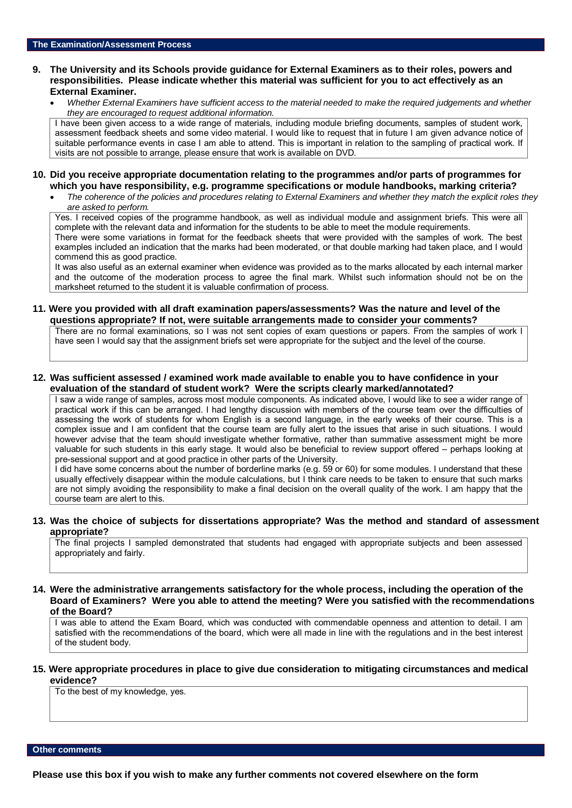### **9. The University and its Schools provide guidance for External Examiners as to their roles, powers and responsibilities. Please indicate whether this material was sufficient for you to act effectively as an External Examiner.**

• *Whether External Examiners have sufficient access to the material needed to make the required judgements and whether they are encouraged to request additional information.*

I have been given access to a wide range of materials, including module briefing documents, samples of student work, assessment feedback sheets and some video material. I would like to request that in future I am given advance notice of suitable performance events in case I am able to attend. This is important in relation to the sampling of practical work. If visits are not possible to arrange, please ensure that work is available on DVD.

#### **10. Did you receive appropriate documentation relating to the programmes and/or parts of programmes for which you have responsibility, e.g. programme specifications or module handbooks, marking criteria?**

• *The coherence of the policies and procedures relating to External Examiners and whether they match the explicit roles they are asked to perform.* 

Yes. I received copies of the programme handbook, as well as individual module and assignment briefs. This were all complete with the relevant data and information for the students to be able to meet the module requirements. There were some variations in format for the feedback sheets that were provided with the samples of work. The best examples included an indication that the marks had been moderated, or that double marking had taken place, and I would commend this as good practice.

It was also useful as an external examiner when evidence was provided as to the marks allocated by each internal marker and the outcome of the moderation process to agree the final mark. Whilst such information should not be on the marksheet returned to the student it is valuable confirmation of process.

### **11. Were you provided with all draft examination papers/assessments? Was the nature and level of the questions appropriate? If not, were suitable arrangements made to consider your comments?**

There are no formal examinations, so I was not sent copies of exam questions or papers. From the samples of work I have seen I would say that the assignment briefs set were appropriate for the subject and the level of the course.

## **12. Was sufficient assessed / examined work made available to enable you to have confidence in your evaluation of the standard of student work? Were the scripts clearly marked/annotated?**

I saw a wide range of samples, across most module components. As indicated above, I would like to see a wider range of practical work if this can be arranged. I had lengthy discussion with members of the course team over the difficulties of assessing the work of students for whom English is a second language, in the early weeks of their course. This is a complex issue and I am confident that the course team are fully alert to the issues that arise in such situations. I would however advise that the team should investigate whether formative, rather than summative assessment might be more valuable for such students in this early stage. It would also be beneficial to review support offered – perhaps looking at pre-sessional support and at good practice in other parts of the University.

I did have some concerns about the number of borderline marks (e.g. 59 or 60) for some modules. I understand that these usually effectively disappear within the module calculations, but I think care needs to be taken to ensure that such marks are not simply avoiding the responsibility to make a final decision on the overall quality of the work. I am happy that the course team are alert to this.

## **13. Was the choice of subjects for dissertations appropriate? Was the method and standard of assessment appropriate?**

The final projects I sampled demonstrated that students had engaged with appropriate subjects and been assessed appropriately and fairly.

#### **14. Were the administrative arrangements satisfactory for the whole process, including the operation of the Board of Examiners? Were you able to attend the meeting? Were you satisfied with the recommendations of the Board?**

I was able to attend the Exam Board, which was conducted with commendable openness and attention to detail. I am satisfied with the recommendations of the board, which were all made in line with the regulations and in the best interest of the student body.

### **15. Were appropriate procedures in place to give due consideration to mitigating circumstances and medical evidence?**

To the best of my knowledge, yes.

**Other comments**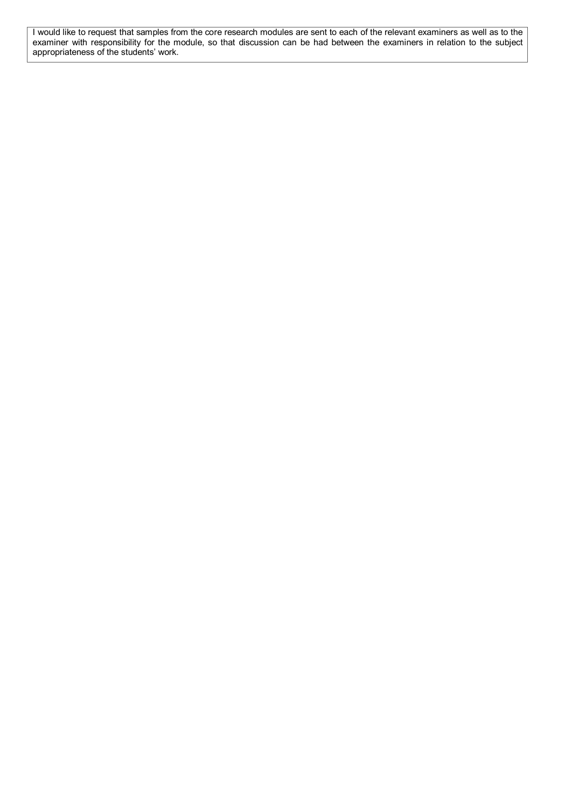I would like to request that samples from the core research modules are sent to each of the relevant examiners as well as to the examiner with responsibility for the module, so that discussion can be had between the examiners in relation to the subject appropriateness of the students' work.